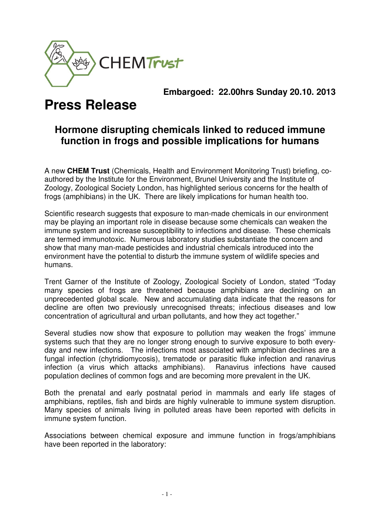

### **Embargoed: 22.00hrs Sunday 20.10. 2013**

# **Press Release**

## **Hormone disrupting chemicals linked to reduced immune function in frogs and possible implications for humans**

A new **CHEM Trust** (Chemicals, Health and Environment Monitoring Trust) briefing, coauthored by the Institute for the Environment, Brunel University and the Institute of Zoology, Zoological Society London, has highlighted serious concerns for the health of frogs (amphibians) in the UK. There are likely implications for human health too.

Scientific research suggests that exposure to man-made chemicals in our environment may be playing an important role in disease because some chemicals can weaken the immune system and increase susceptibility to infections and disease. These chemicals are termed immunotoxic. Numerous laboratory studies substantiate the concern and show that many man-made pesticides and industrial chemicals introduced into the environment have the potential to disturb the immune system of wildlife species and humans.

Trent Garner of the Institute of Zoology, Zoological Society of London, stated "Today many species of frogs are threatened because amphibians are declining on an unprecedented global scale. New and accumulating data indicate that the reasons for decline are often two previously unrecognised threats; infectious diseases and low concentration of agricultural and urban pollutants, and how they act together."

Several studies now show that exposure to pollution may weaken the frogs' immune systems such that they are no longer strong enough to survive exposure to both everyday and new infections. The infections most associated with amphibian declines are a fungal infection (chytridiomycosis), trematode or parasitic fluke infection and ranavirus infection (a virus which attacks amphibians). Ranavirus infections have caused population declines of common fogs and are becoming more prevalent in the UK.

Both the prenatal and early postnatal period in mammals and early life stages of amphibians, reptiles, fish and birds are highly vulnerable to immune system disruption. Many species of animals living in polluted areas have been reported with deficits in immune system function.

Associations between chemical exposure and immune function in frogs/amphibians have been reported in the laboratory: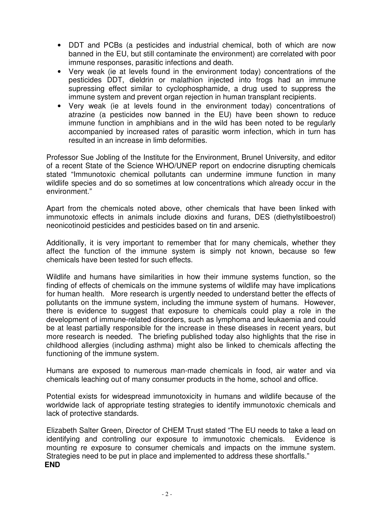- DDT and PCBs (a pesticides and industrial chemical, both of which are now banned in the EU, but still contaminate the environment) are correlated with poor immune responses, parasitic infections and death.
- Very weak (ie at levels found in the environment today) concentrations of the pesticides DDT, dieldrin or malathion injected into frogs had an immune supressing effect similar to cyclophosphamide, a drug used to suppress the immune system and prevent organ rejection in human transplant recipients.
- Very weak (ie at levels found in the environment today) concentrations of atrazine (a pesticides now banned in the EU) have been shown to reduce immune function in amphibians and in the wild has been noted to be regularly accompanied by increased rates of parasitic worm infection, which in turn has resulted in an increase in limb deformities.

Professor Sue Jobling of the Institute for the Environment, Brunel University, and editor of a recent State of the Science WHO/UNEP report on endocrine disrupting chemicals stated "Immunotoxic chemical pollutants can undermine immune function in many wildlife species and do so sometimes at low concentrations which already occur in the environment."

Apart from the chemicals noted above, other chemicals that have been linked with immunotoxic effects in animals include dioxins and furans, DES (diethylstilboestrol) neonicotinoid pesticides and pesticides based on tin and arsenic.

Additionally, it is very important to remember that for many chemicals, whether they affect the function of the immune system is simply not known, because so few chemicals have been tested for such effects.

Wildlife and humans have similarities in how their immune systems function, so the finding of effects of chemicals on the immune systems of wildlife may have implications for human health. More research is urgently needed to understand better the effects of pollutants on the immune system, including the immune system of humans. However, there is evidence to suggest that exposure to chemicals could play a role in the development of immune-related disorders, such as lymphoma and leukaemia and could be at least partially responsible for the increase in these diseases in recent years, but more research is needed. The briefing published today also highlights that the rise in childhood allergies (including asthma) might also be linked to chemicals affecting the functioning of the immune system.

Humans are exposed to numerous man-made chemicals in food, air water and via chemicals leaching out of many consumer products in the home, school and office.

Potential exists for widespread immunotoxicity in humans and wildlife because of the worldwide lack of appropriate testing strategies to identify immunotoxic chemicals and lack of protective standards.

Elizabeth Salter Green, Director of CHEM Trust stated "The EU needs to take a lead on identifying and controlling our exposure to immunotoxic chemicals. Evidence is mounting re exposure to consumer chemicals and impacts on the immune system. Strategies need to be put in place and implemented to address these shortfalls." **END**